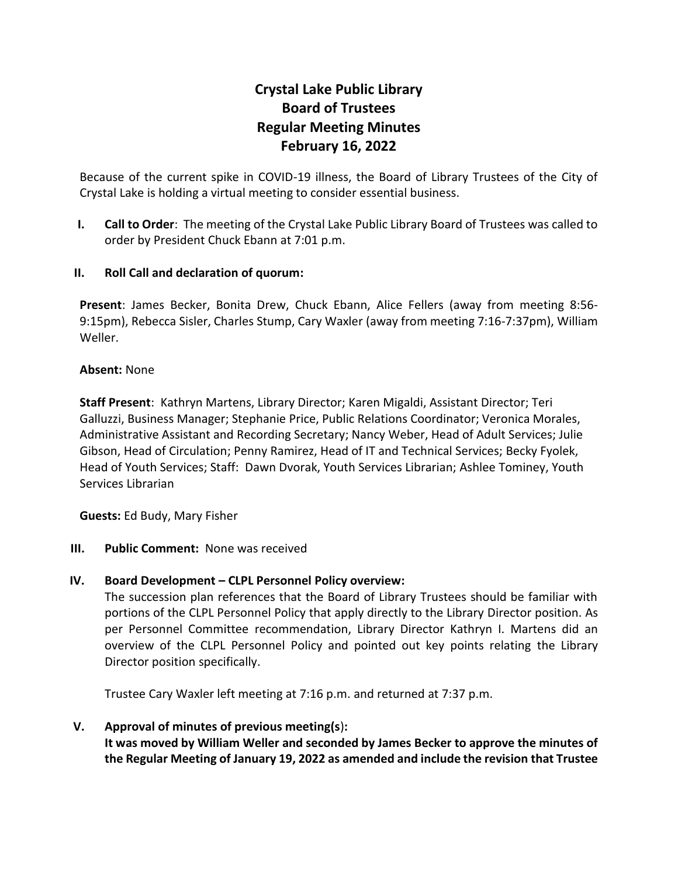# **Crystal Lake Public Library Board of Trustees Regular Meeting Minutes February 16, 2022**

Because of the current spike in COVID-19 illness, the Board of Library Trustees of the City of Crystal Lake is holding a virtual meeting to consider essential business.

**I. Call to Order**: The meeting of the Crystal Lake Public Library Board of Trustees was called to order by President Chuck Ebann at 7:01 p.m.

## **II. Roll Call and declaration of quorum:**

**Present**: James Becker, Bonita Drew, Chuck Ebann, Alice Fellers (away from meeting 8:56- 9:15pm), Rebecca Sisler, Charles Stump, Cary Waxler (away from meeting 7:16-7:37pm), William Weller.

### **Absent:** None

**Staff Present**: Kathryn Martens, Library Director; Karen Migaldi, Assistant Director; Teri Galluzzi, Business Manager; Stephanie Price, Public Relations Coordinator; Veronica Morales, Administrative Assistant and Recording Secretary; Nancy Weber, Head of Adult Services; Julie Gibson, Head of Circulation; Penny Ramirez, Head of IT and Technical Services; Becky Fyolek, Head of Youth Services; Staff: Dawn Dvorak, Youth Services Librarian; Ashlee Tominey, Youth Services Librarian

**Guests:** Ed Budy, Mary Fisher

**III. Public Comment:** None was received

## **IV. Board Development – CLPL Personnel Policy overview:**

The succession plan references that the Board of Library Trustees should be familiar with portions of the CLPL Personnel Policy that apply directly to the Library Director position. As per Personnel Committee recommendation, Library Director Kathryn I. Martens did an overview of the CLPL Personnel Policy and pointed out key points relating the Library Director position specifically.

Trustee Cary Waxler left meeting at 7:16 p.m. and returned at 7:37 p.m.

## **V. Approval of minutes of previous meeting(s**)**:**

**It was moved by William Weller and seconded by James Becker to approve the minutes of the Regular Meeting of January 19, 2022 as amended and include the revision that Trustee**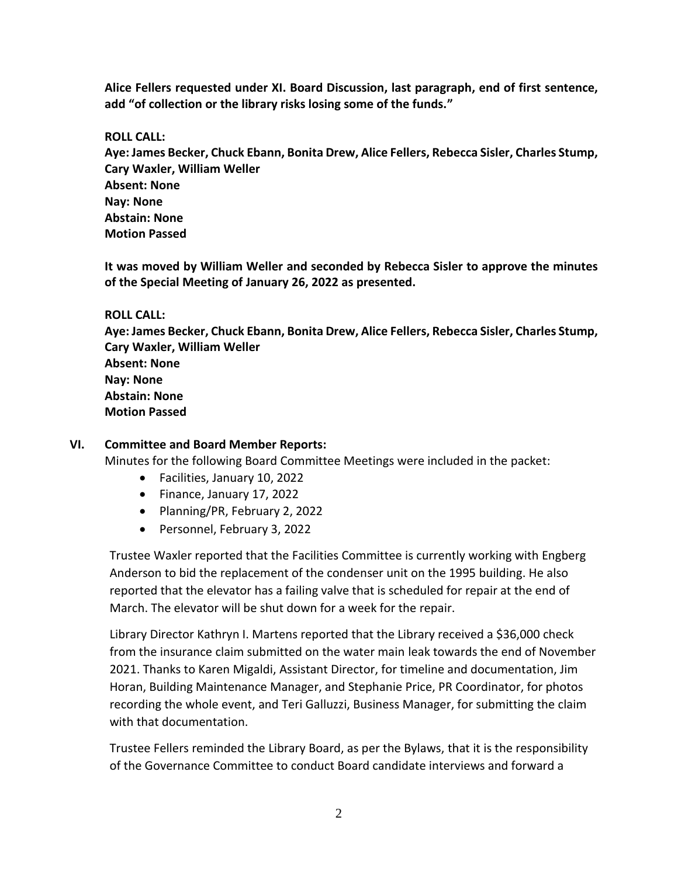**Alice Fellers requested under XI. Board Discussion, last paragraph, end of first sentence, add "of collection or the library risks losing some of the funds."**

**ROLL CALL:**

**Aye: James Becker, Chuck Ebann, Bonita Drew, Alice Fellers, Rebecca Sisler, Charles Stump, Cary Waxler, William Weller Absent: None Nay: None Abstain: None Motion Passed**

**It was moved by William Weller and seconded by Rebecca Sisler to approve the minutes of the Special Meeting of January 26, 2022 as presented.**

#### **ROLL CALL:**

**Aye: James Becker, Chuck Ebann, Bonita Drew, Alice Fellers, Rebecca Sisler, Charles Stump, Cary Waxler, William Weller Absent: None Nay: None Abstain: None Motion Passed**

## **VI. Committee and Board Member Reports:**

Minutes for the following Board Committee Meetings were included in the packet:

- Facilities, January 10, 2022
- Finance, January 17, 2022
- Planning/PR, February 2, 2022
- Personnel, February 3, 2022

Trustee Waxler reported that the Facilities Committee is currently working with Engberg Anderson to bid the replacement of the condenser unit on the 1995 building. He also reported that the elevator has a failing valve that is scheduled for repair at the end of March. The elevator will be shut down for a week for the repair.

Library Director Kathryn I. Martens reported that the Library received a \$36,000 check from the insurance claim submitted on the water main leak towards the end of November 2021. Thanks to Karen Migaldi, Assistant Director, for timeline and documentation, Jim Horan, Building Maintenance Manager, and Stephanie Price, PR Coordinator, for photos recording the whole event, and Teri Galluzzi, Business Manager, for submitting the claim with that documentation.

Trustee Fellers reminded the Library Board, as per the Bylaws, that it is the responsibility of the Governance Committee to conduct Board candidate interviews and forward a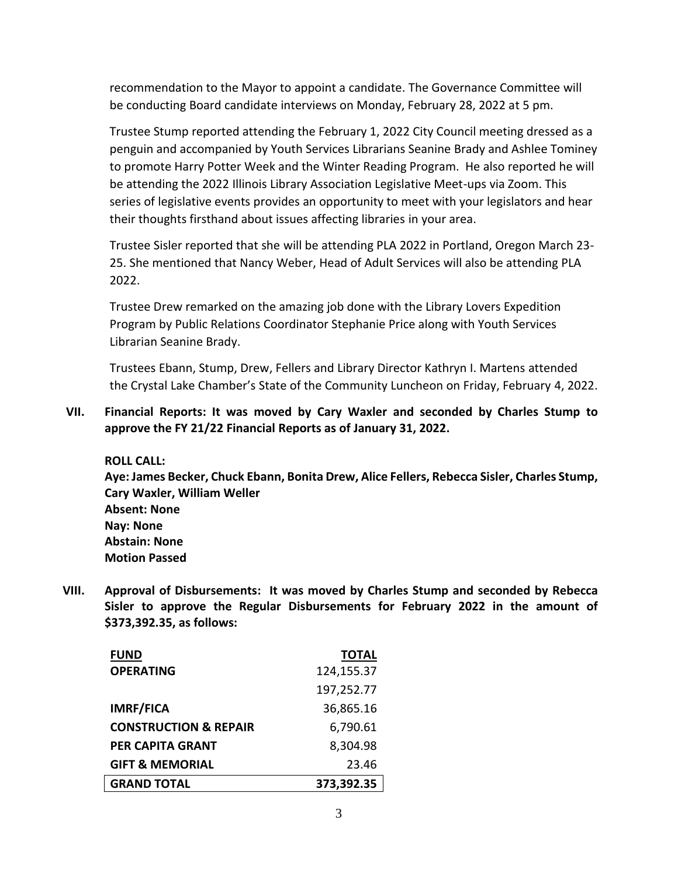recommendation to the Mayor to appoint a candidate. The Governance Committee will be conducting Board candidate interviews on Monday, February 28, 2022 at 5 pm.

Trustee Stump reported attending the February 1, 2022 City Council meeting dressed as a penguin and accompanied by Youth Services Librarians Seanine Brady and Ashlee Tominey to promote Harry Potter Week and the Winter Reading Program. He also reported he will be attending the 2022 Illinois Library Association Legislative Meet-ups via Zoom. This series of legislative events provides an opportunity to meet with your legislators and hear their thoughts firsthand about issues affecting libraries in your area.

Trustee Sisler reported that she will be attending PLA 2022 in Portland, Oregon March 23- 25. She mentioned that Nancy Weber, Head of Adult Services will also be attending PLA 2022.

Trustee Drew remarked on the amazing job done with the Library Lovers Expedition Program by Public Relations Coordinator Stephanie Price along with Youth Services Librarian Seanine Brady.

Trustees Ebann, Stump, Drew, Fellers and Library Director Kathryn I. Martens attended the Crystal Lake Chamber's State of the Community Luncheon on Friday, February 4, 2022.

### **VII. Financial Reports: It was moved by Cary Waxler and seconded by Charles Stump to approve the FY 21/22 Financial Reports as of January 31, 2022.**

**ROLL CALL: Aye: James Becker, Chuck Ebann, Bonita Drew, Alice Fellers, Rebecca Sisler, Charles Stump, Cary Waxler, William Weller Absent: None Nay: None Abstain: None Motion Passed**

**VIII. Approval of Disbursements: It was moved by Charles Stump and seconded by Rebecca Sisler to approve the Regular Disbursements for February 2022 in the amount of \$373,392.35, as follows:**

| <b>FUND</b>                      | <b>TOTAL</b> |
|----------------------------------|--------------|
| <b>OPERATING</b>                 | 124,155.37   |
|                                  | 197,252.77   |
| <b>IMRF/FICA</b>                 | 36,865.16    |
| <b>CONSTRUCTION &amp; REPAIR</b> | 6,790.61     |
| <b>PER CAPITA GRANT</b>          | 8,304.98     |
| <b>GIFT &amp; MEMORIAL</b>       | 23.46        |
| <b>GRAND TOTAL</b>               | 373,392.35   |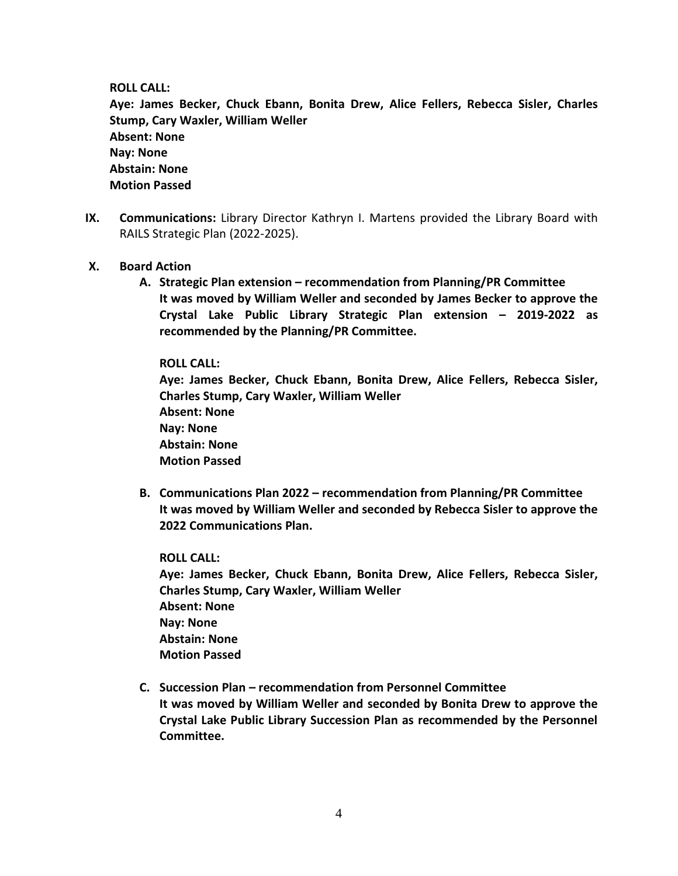**ROLL CALL:**

**Aye: James Becker, Chuck Ebann, Bonita Drew, Alice Fellers, Rebecca Sisler, Charles Stump, Cary Waxler, William Weller Absent: None Nay: None Abstain: None Motion Passed**

- **IX. Communications:** Library Director Kathryn I. Martens provided the Library Board with RAILS Strategic Plan (2022-2025).
- **X. Board Action**
	- **A. Strategic Plan extension – recommendation from Planning/PR Committee It was moved by William Weller and seconded by James Becker to approve the Crystal Lake Public Library Strategic Plan extension – 2019-2022 as recommended by the Planning/PR Committee.**

**ROLL CALL:**

**Aye: James Becker, Chuck Ebann, Bonita Drew, Alice Fellers, Rebecca Sisler, Charles Stump, Cary Waxler, William Weller Absent: None Nay: None Abstain: None Motion Passed**

**B. Communications Plan 2022 – recommendation from Planning/PR Committee It was moved by William Weller and seconded by Rebecca Sisler to approve the 2022 Communications Plan.**

**ROLL CALL: Aye: James Becker, Chuck Ebann, Bonita Drew, Alice Fellers, Rebecca Sisler, Charles Stump, Cary Waxler, William Weller Absent: None Nay: None Abstain: None Motion Passed**

**C. Succession Plan – recommendation from Personnel Committee It was moved by William Weller and seconded by Bonita Drew to approve the Crystal Lake Public Library Succession Plan as recommended by the Personnel Committee.**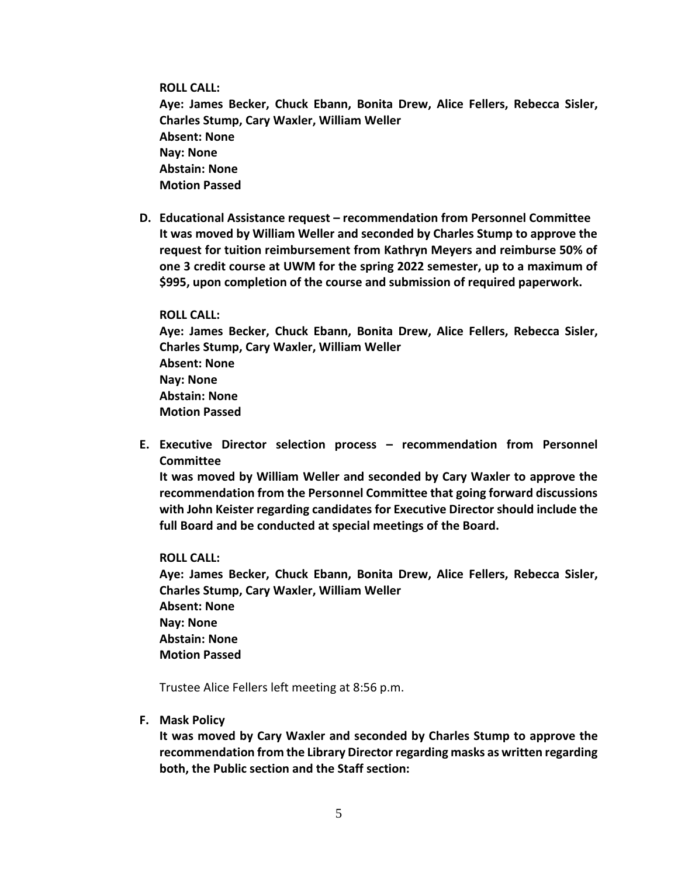**ROLL CALL:**

**Aye: James Becker, Chuck Ebann, Bonita Drew, Alice Fellers, Rebecca Sisler, Charles Stump, Cary Waxler, William Weller Absent: None Nay: None Abstain: None Motion Passed**

**D. Educational Assistance request – recommendation from Personnel Committee It was moved by William Weller and seconded by Charles Stump to approve the request for tuition reimbursement from Kathryn Meyers and reimburse 50% of one 3 credit course at UWM for the spring 2022 semester, up to a maximum of \$995, upon completion of the course and submission of required paperwork.**

#### **ROLL CALL:**

**Aye: James Becker, Chuck Ebann, Bonita Drew, Alice Fellers, Rebecca Sisler, Charles Stump, Cary Waxler, William Weller Absent: None Nay: None Abstain: None Motion Passed**

**E. Executive Director selection process – recommendation from Personnel Committee**

**It was moved by William Weller and seconded by Cary Waxler to approve the recommendation from the Personnel Committee that going forward discussions with John Keister regarding candidates for Executive Director should include the full Board and be conducted at special meetings of the Board.**

#### **ROLL CALL:**

**Aye: James Becker, Chuck Ebann, Bonita Drew, Alice Fellers, Rebecca Sisler, Charles Stump, Cary Waxler, William Weller Absent: None Nay: None Abstain: None Motion Passed**

Trustee Alice Fellers left meeting at 8:56 p.m.

#### **F. Mask Policy**

**It was moved by Cary Waxler and seconded by Charles Stump to approve the recommendation from the Library Director regarding masks as written regarding both, the Public section and the Staff section:**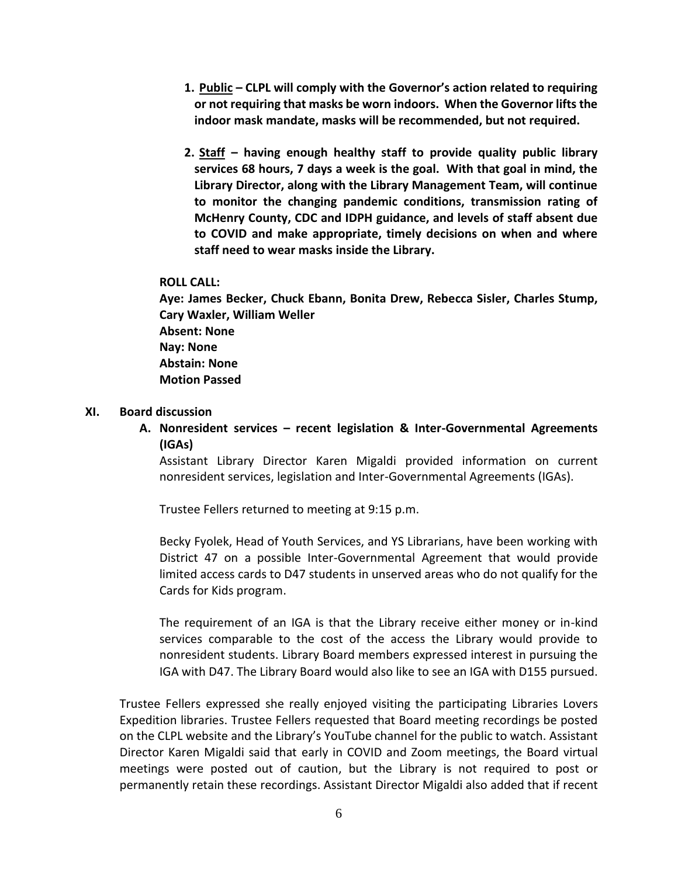- **1. Public – CLPL will comply with the Governor's action related to requiring or not requiring that masks be worn indoors. When the Governor lifts the indoor mask mandate, masks will be recommended, but not required.**
- **2. Staff – having enough healthy staff to provide quality public library services 68 hours, 7 days a week is the goal. With that goal in mind, the Library Director, along with the Library Management Team, will continue to monitor the changing pandemic conditions, transmission rating of McHenry County, CDC and IDPH guidance, and levels of staff absent due to COVID and make appropriate, timely decisions on when and where staff need to wear masks inside the Library.**

#### **ROLL CALL:**

**Aye: James Becker, Chuck Ebann, Bonita Drew, Rebecca Sisler, Charles Stump, Cary Waxler, William Weller Absent: None Nay: None Abstain: None Motion Passed**

#### **XI. Board discussion**

**A. Nonresident services – recent legislation & Inter-Governmental Agreements (IGAs)**

Assistant Library Director Karen Migaldi provided information on current nonresident services, legislation and Inter-Governmental Agreements (IGAs).

Trustee Fellers returned to meeting at 9:15 p.m.

Becky Fyolek, Head of Youth Services, and YS Librarians, have been working with District 47 on a possible Inter-Governmental Agreement that would provide limited access cards to D47 students in unserved areas who do not qualify for the Cards for Kids program.

The requirement of an IGA is that the Library receive either money or in-kind services comparable to the cost of the access the Library would provide to nonresident students. Library Board members expressed interest in pursuing the IGA with D47. The Library Board would also like to see an IGA with D155 pursued.

Trustee Fellers expressed she really enjoyed visiting the participating Libraries Lovers Expedition libraries. Trustee Fellers requested that Board meeting recordings be posted on the CLPL website and the Library's YouTube channel for the public to watch. Assistant Director Karen Migaldi said that early in COVID and Zoom meetings, the Board virtual meetings were posted out of caution, but the Library is not required to post or permanently retain these recordings. Assistant Director Migaldi also added that if recent